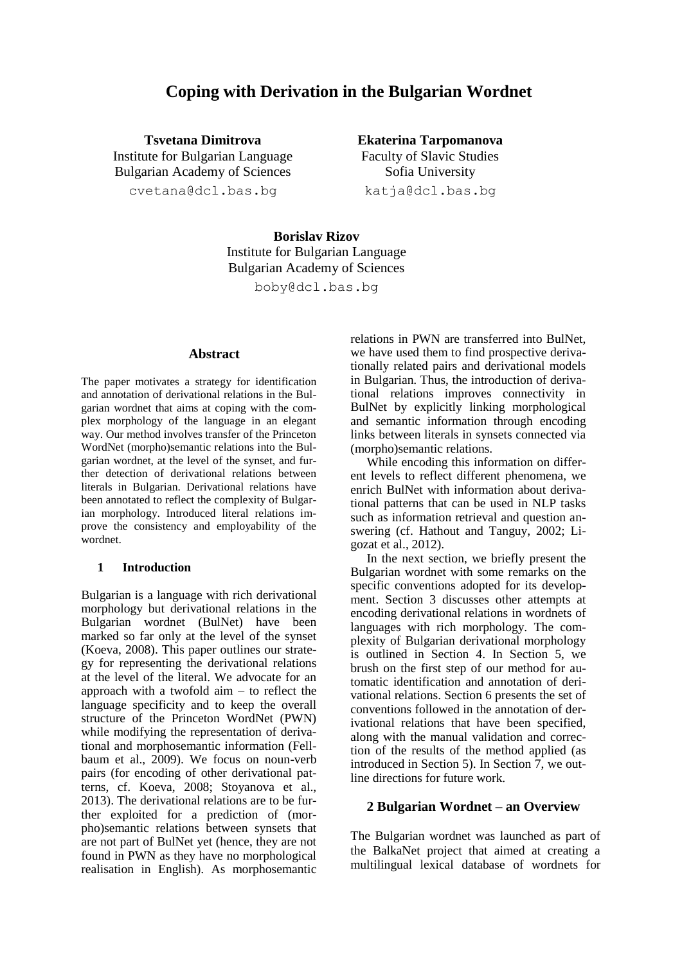# **Coping with Derivation in the Bulgarian Wordnet**

**Tsvetana Dimitrova** Institute for Bulgarian Language Bulgarian Academy of Sciences [cvetana@dcl.bas.bg](mailto:cvetana@dcl.bas.bg)

**Ekaterina Tarpomanova** Faculty of Slavic Studies Sofia University [katja@dcl.bas.bg](mailto:katja@dcl.bas.bg)

**Borislav Rizov** Institute for Bulgarian Language Bulgarian Academy of Sciences [boby@dcl.bas.bg](mailto:boby@dcl.bas.bg)

## **Abstract**

The paper motivates a strategy for identification and annotation of derivational relations in the Bulgarian wordnet that aims at coping with the complex morphology of the language in an elegant way. Our method involves transfer of the Princeton WordNet (morpho)semantic relations into the Bulgarian wordnet, at the level of the synset, and further detection of derivational relations between literals in Bulgarian. Derivational relations have been annotated to reflect the complexity of Bulgarian morphology. Introduced literal relations improve the consistency and employability of the wordnet.

#### **1 Introduction**

Bulgarian is a language with rich derivational morphology but derivational relations in the Bulgarian wordnet (BulNet) have been marked so far only at the level of the synset (Koeva, 2008). This paper outlines our strategy for representing the derivational relations at the level of the literal. We advocate for an approach with a twofold aim – to reflect the language specificity and to keep the overall structure of the Princeton WordNet (PWN) while modifying the representation of derivational and morphosemantic information (Fellbaum et al., 2009). We focus on noun-verb pairs (for encoding of other derivational patterns, cf. Koeva, 2008; Stoyanova et al., 2013). The derivational relations are to be further exploited for a prediction of (morpho)semantic relations between synsets that are not part of BulNet yet (hence, they are not found in PWN as they have no morphological realisation in English). As morphosemantic relations in PWN are transferred into BulNet, we have used them to find prospective derivationally related pairs and derivational models in Bulgarian. Thus, the introduction of derivational relations improves connectivity in BulNet by explicitly linking morphological and semantic information through encoding links between literals in synsets connected via (morpho)semantic relations.

While encoding this information on different levels to reflect different phenomena, we enrich BulNet with information about derivational patterns that can be used in NLP tasks such as information retrieval and question answering (cf. Hathout and Tanguy, 2002; Ligozat et al., 2012).

In the next section, we briefly present the Bulgarian wordnet with some remarks on the specific conventions adopted for its development. Section 3 discusses other attempts at encoding derivational relations in wordnets of languages with rich morphology. The complexity of Bulgarian derivational morphology is outlined in Section 4. In Section 5, we brush on the first step of our method for automatic identification and annotation of derivational relations. Section 6 presents the set of conventions followed in the annotation of derivational relations that have been specified, along with the manual validation and correction of the results of the method applied (as introduced in Section 5). In Section 7, we outline directions for future work.

### **2 Bulgarian Wordnet – an Overview**

The Bulgarian wordnet was launched as part of the BalkaNet project that aimed at creating a multilingual lexical database of wordnets for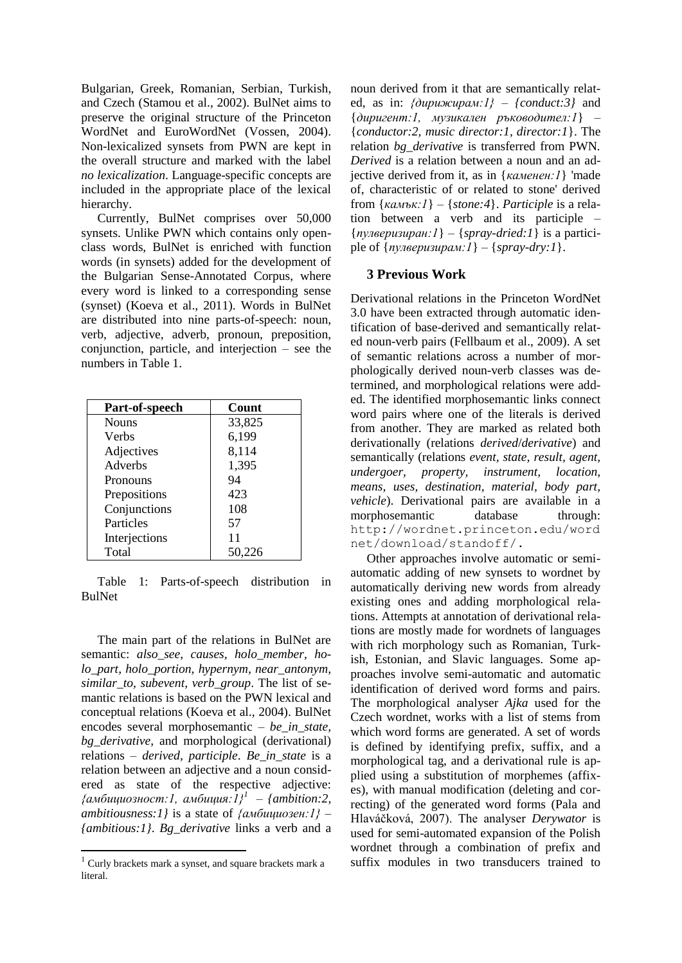Bulgarian, Greek, Romanian, Serbian, Turkish, and Czech (Stamou et al., 2002). BulNet aims to preserve the original structure of the Princeton WordNet and EuroWordNet (Vossen, 2004). Non-lexicalized synsets from PWN are kept in the overall structure and marked with the label *no lexicalization*. Language-specific concepts are included in the appropriate place of the lexical hierarchy.

Currently, BulNet comprises over 50,000 synsets. Unlike PWN which contains only openclass words, BulNet is enriched with function words (in synsets) added for the development of the Bulgarian Sense-Annotated Corpus, where every word is linked to a corresponding sense (synset) (Koeva et al., 2011). Words in BulNet are distributed into nine parts-of-speech: noun, verb, adjective, adverb, pronoun, preposition, conjunction, particle, and interjection – see the numbers in Table 1.

| Part-of-speech | Count  |
|----------------|--------|
| <b>Nouns</b>   | 33,825 |
| Verbs          | 6,199  |
| Adjectives     | 8,114  |
| Adverbs        | 1,395  |
| Pronouns       | 94     |
| Prepositions   | 423    |
| Conjunctions   | 108    |
| Particles      | 57     |
| Interjections  | 11     |
| Total          | 50,226 |

Table 1: Parts-of-speech distribution in BulNet

The main part of the relations in BulNet are semantic: *also\_see, causes, holo\_member, holo\_part, holo\_portion, hypernym, near\_antonym, similar\_to, subevent, verb\_group*. The list of semantic relations is based on the PWN lexical and conceptual relations (Koeva et al., 2004). BulNet encodes several morphosemantic – *be\_in\_state, bg\_derivative,* and morphological (derivational) relations – *derived, participle*. *Be\_in\_state* is a relation between an adjective and a noun considered as state of the respective adjective: *{амбициозност:1, амбиция:1}<sup>1</sup> – {ambition:2, ambitiousness:1}* is a state of *{амбициозен:1} – {ambitious:1}*. *Bg\_derivative* links a verb and a

noun derived from it that are semantically related, as in: *{дирижирам:1} – {conduct:3}* and {*диригент:1, музикален ръководител:1*} *–* {*conductor:2, music director:1, director:1*}. The relation *bg\_derivative* is transferred from PWN*. Derived* is a relation between a noun and an adjective derived from it, as in {*каменен:1*} 'made of, characteristic of or related to stone' derived from {*камък:1*} *–* {*stone:4*}. *Participle* is a relation between a verb and its participle *–* {*пулверизиран:1*} *–* {*spray-dried:1*} is a participle of  $\{ny \in \mathbb{R} | n \leq l \}$  –  $\{ \text{spray} \cdot \text{dry} \cdot l \}.$ 

## **3 Previous Work**

Derivational relations in the Princeton WordNet 3.0 have been extracted through automatic identification of base-derived and semantically related noun-verb pairs (Fellbaum et al., 2009). A set of semantic relations across a number of morphologically derived noun-verb classes was determined, and morphological relations were added. The identified morphosemantic links connect word pairs where one of the literals is derived from another. They are marked as related both derivationally (relations *derived*/*derivative*) and semantically (relations *event, state, result, agent, undergoer, property, instrument, location, means, uses, destination, material, body part, vehicle*). Derivational pairs are available in a morphosemantic database through: [http://wordnet.princeton.edu/word](http://wordnet.princeton.edu/wordnet/download/standoff/) [net/download/standoff/.](http://wordnet.princeton.edu/wordnet/download/standoff/)

Other approaches involve automatic or semiautomatic adding of new synsets to wordnet by automatically deriving new words from already existing ones and adding morphological relations. Attempts at annotation of derivational relations are mostly made for wordnets of languages with rich morphology such as Romanian, Turkish, Estonian, and Slavic languages. Some approaches involve semi-automatic and automatic identification of derived word forms and pairs. The morphological analyser *Ajka* used for the Czech wordnet, works with a list of stems from which word forms are generated. A set of words is defined by identifying prefix, suffix, and a morphological tag, and a derivational rule is applied using a substitution of morphemes (affixes), with manual modification (deleting and correcting) of the generated word forms (Pala and Hlaváčková, 2007). The analyser *Derywator* is used for semi-automated expansion of the Polish wordnet through a combination of prefix and suffix modules in two transducers trained to

<sup>&</sup>lt;sup>1</sup> Curly brackets mark a synset, and square brackets mark a literal.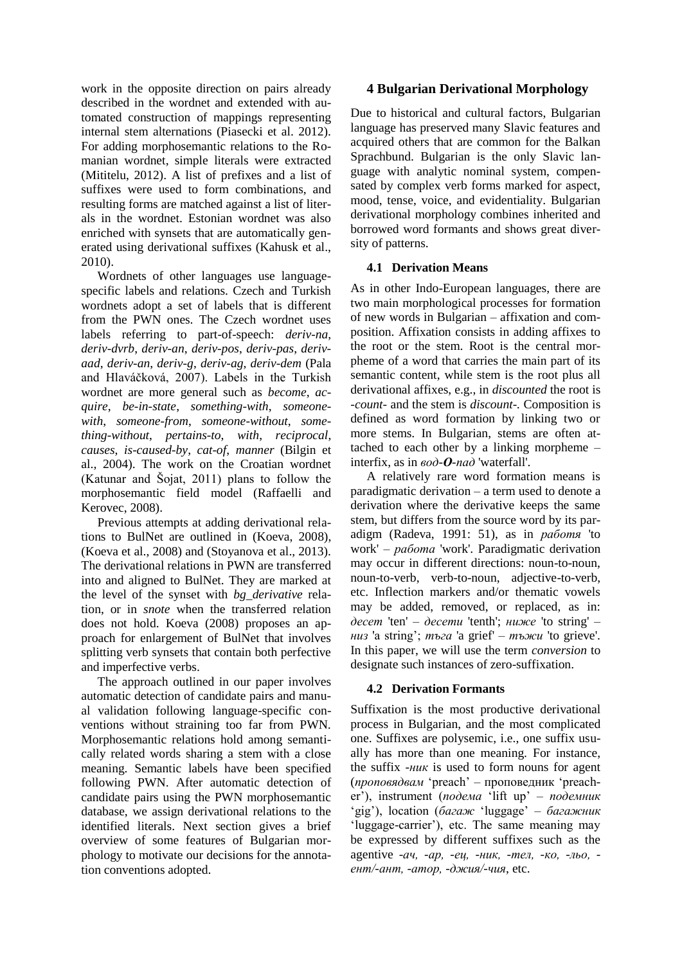work in the opposite direction on pairs already described in the wordnet and extended with automated construction of mappings representing internal stem alternations (Piasecki et al. 2012). For adding morphosemantic relations to the Romanian wordnet, simple literals were extracted (Mititelu, 2012). A list of prefixes and a list of suffixes were used to form combinations, and resulting forms are matched against a list of literals in the wordnet. Estonian wordnet was also enriched with synsets that are automatically generated using derivational suffixes (Kahusk et al., 2010).

Wordnets of other languages use languagespecific labels and relations. Czech and Turkish wordnets adopt a set of labels that is different from the PWN ones. The Czech wordnet uses labels referring to part-of-speech: *deriv-na*, *deriv-dvrb*, *deriv-an*, *deriv-pos*, *deriv-pas*, *derivaad*, *deriv-an*, *deriv-g*, *deriv-ag*, *deriv-dem* (Pala and Hlaváčková, 2007). Labels in the Turkish wordnet are more general such as *become*, *acquire*, *be-in-state*, *something-with*, *someonewith*, *someone-from*, *someone-without*, *something-without*, *pertains-to*, *with*, *reciprocal*, *causes*, *is-caused-by*, *cat-of*, *manner* (Bilgin et al., 2004). The work on the Croatian wordnet (Katunar and Šojat, 2011) plans to follow the morphosemantic field model (Raffaelli and Kerovec, 2008).

Previous attempts at adding derivational relations to BulNet are outlined in (Koeva, 2008), (Koeva et al., 2008) and (Stoyanova et al., 2013). The derivational relations in PWN are transferred into and aligned to BulNet. They are marked at the level of the synset with *bg\_derivative* relation, or in *snote* when the transferred relation does not hold. Koeva (2008) proposes an approach for enlargement of BulNet that involves splitting verb synsets that contain both perfective and imperfective verbs.

The approach outlined in our paper involves automatic detection of candidate pairs and manual validation following language-specific conventions without straining too far from PWN. Morphosemantic relations hold among semantically related words sharing a stem with a close meaning. Semantic labels have been specified following PWN. After automatic detection of candidate pairs using the PWN morphosemantic database, we assign derivational relations to the identified literals. Next section gives a brief overview of some features of Bulgarian morphology to motivate our decisions for the annotation conventions adopted.

# **4 Bulgarian Derivational Morphology**

Due to historical and cultural factors, Bulgarian language has preserved many Slavic features and acquired others that are common for the Balkan Sprachbund. Bulgarian is the only Slavic language with analytic nominal system, compensated by complex verb forms marked for aspect, mood, tense, voice, and evidentiality. Bulgarian derivational morphology combines inherited and borrowed word formants and shows great diversity of patterns.

# **4.1 Derivation Means**

As in other Indo-European languages, there are two main morphological processes for formation of new words in Bulgarian – affixation and composition. Affixation consists in adding affixes to the root or the stem. Root is the central morpheme of a word that carries the main part of its semantic content, while stem is the root plus all derivational affixes, e.g., in *discounted* the root is *-count-* and the stem is *discount-.* Composition is defined as word formation by linking two or more stems. In Bulgarian, stems are often attached to each other by a linking morpheme – interfix, as in *вод-О-пад* 'waterfall'.

A relatively rare word formation means is paradigmatic derivation – a term used to denote a derivation where the derivative keeps the same stem, but differs from the source word by its paradigm (Radeva, 1991: 51), as in *работя* 'to work' – *работа* 'work'. Paradigmatic derivation may occur in different directions: noun-to-noun, noun-to-verb, verb-to-noun, adjective-to-verb, etc. Inflection markers and/or thematic vowels may be added, removed, or replaced, as in: *десет* 'ten' – *десети* 'tenth'; *ниже* 'to string' – *низ* 'a string'; *тъга* 'a grief' – *тъжи* 'to grieve'. In this paper, we will use the term *conversion* to designate such instances of zero-suffixation.

# **4.2 Derivation Formants**

Suffixation is the most productive derivational process in Bulgarian, and the most complicated one. Suffixes are polysemic, i.e., one suffix usually has more than one meaning. For instance, the suffix *-ник* is used to form nouns for agent (*проповядвам* 'preach' – проповедник 'preacher'), instrument (*подема* 'lift up' – *подемник* 'gig'), location (*багаж* 'luggage' – *багажник* 'luggage-carrier'), etc. The same meaning may be expressed by different suffixes such as the agentive -*ач, -ар, -ец, -ник, -тел, -ко, -льо, ент/-ант, -атор, -джия/-чия*, etc.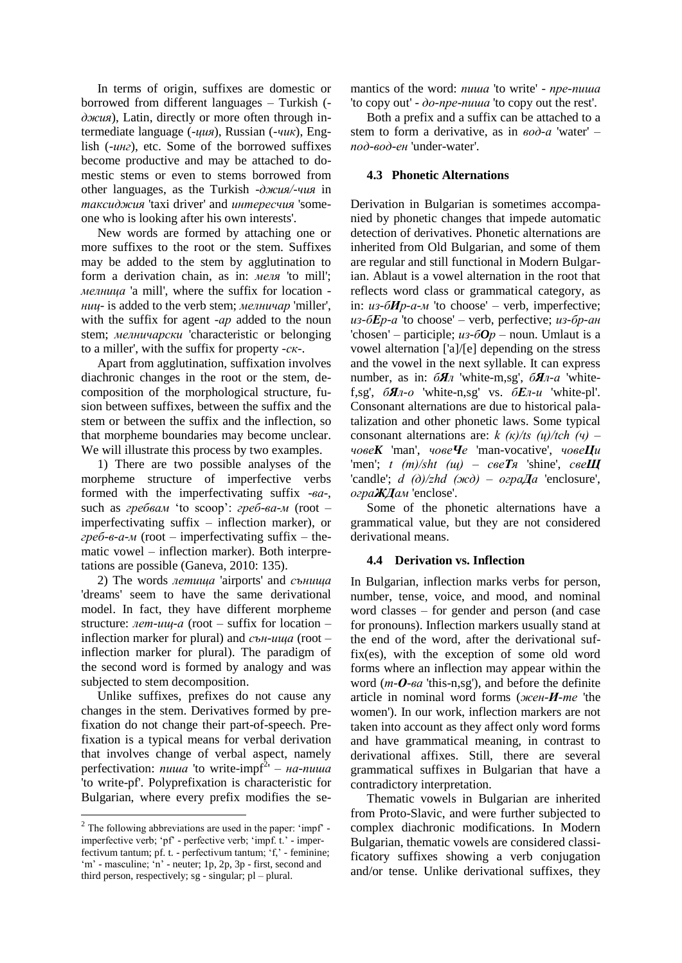In terms of origin, suffixes are domestic or borrowed from different languages – Turkish ( *джия*), Latin, directly or more often through intermediate language (*-ция*), Russian (*-чик*), English (*-инг*), etc. Some of the borrowed suffixes become productive and may be attached to domestic stems or even to stems borrowed from other languages, as the Turkish *-джия/-чия* in *таксиджия* 'taxi driver' and *интересчия* 'someone who is looking after his own interests'.

New words are formed by attaching one or more suffixes to the root or the stem. Suffixes may be added to the stem by agglutination to form a derivation chain, as in: *меля* 'to mill'; *мелница* 'a mill', where the suffix for location  *ниц-* is added to the verb stem; *мелничар* 'miller', with the suffix for agent *-ар* added to the noun stem; *мелничарски* 'characteristic or belonging to a miller', with the suffix for property *-ск-*.

Apart from agglutination, suffixation involves diachronic changes in the root or the stem, decomposition of the morphological structure, fusion between suffixes, between the suffix and the stem or between the suffix and the inflection, so that morpheme boundaries may become unclear. We will illustrate this process by two examples.

1) There are two possible analyses of the morpheme structure of imperfective verbs formed with the imperfectivating suffix -*ва*-, such as *гребвам* 'to scoop': *греб-ва-м* (root – imperfectivating suffix – inflection marker), or *греб-в-а-м* (root – imperfectivating suffix – thematic vowel – inflection marker). Both interpretations are possible (Ganeva, 2010: 135).

2) The words *летища* 'airports' and *сънища* 'dreams' seem to have the same derivational model. In fact, they have different morpheme structure: *лет-ищ-а* (root – suffix for location – inflection marker for plural) and *сън-ища* (root – inflection marker for plural). The paradigm of the second word is formed by analogy and was subjected to stem decomposition.

Unlike suffixes, prefixes do not cause any changes in the stem. Derivatives formed by prefixation do not change their part-of-speech. Prefixation is a typical means for verbal derivation that involves change of verbal aspect, namely perfectivation: *пиша* 'to write-impf<sup>2</sup>' – на-пиша 'to write-pf'. Polyprefixation is characteristic for Bulgarian, where every prefix modifies the se-

mantics of the word: *пиша* 'to write' - *пре-пиша* 'to copy out' - *до-пре-пиша* 'to copy out the rest'.

Both a prefix and a suffix can be attached to a stem to form a derivative, as in *вод-а* 'water' – *под-вод-ен* 'under-water'.

### **4.3 Phonetic Alternations**

Derivation in Bulgarian is sometimes accompanied by phonetic changes that impede automatic detection of derivatives. Phonetic alternations are inherited from Old Bulgarian, and some of them are regular and still functional in Modern Bulgarian. Ablaut is a vowel alternation in the root that reflects word class or grammatical category, as in: *из-бИр-а-м* 'to choose' – verb, imperfective; *из-бЕр-а* 'to choose' – verb, perfective; *из-бр-ан* 'chosen' – participle;  $u_3$ - $6Op$  – noun. Umlaut is a vowel alternation ['a]/[e] depending on the stress and the vowel in the next syllable. It can express number, as in: *бЯл* 'white-m,sg', *бЯл-а* 'whitef,sg', *бЯл-о* 'white-n,sg' vs. *бЕл-и* 'white-pl'. Consonant alternations are due to historical palatalization and other phonetic laws. Some typical consonant alternations are: *k (к)/ts (ц)/tch (ч)* – *човеK* 'man', *човеЧе* 'man-vocative', *човеЦи* 'men'; *t (т)/sht (щ)* – *свеТя* 'shine', *свеЩ* 'candle';  $d(\partial)/zhd(\partial x\partial) - \partial zpa\mathbf{A}a$  'enclosure', *ограЖДам* 'enclose'.

Some of the phonetic alternations have a grammatical value, but they are not considered derivational means.

# **4.4 Derivation vs. Inflection**

In Bulgarian, inflection marks verbs for person, number, tense, voice, and mood, and nominal word classes – for gender and person (and case for pronouns). Inflection markers usually stand at the end of the word, after the derivational suffix(es), with the exception of some old word forms where an inflection may appear within the word (*т-О-ва* 'this-n,sg'), and before the definite article in nominal word forms (*жен-И-те* 'the women'). In our work, inflection markers are not taken into account as they affect only word forms and have grammatical meaning, in contrast to derivational affixes. Still, there are several grammatical suffixes in Bulgarian that have a contradictory interpretation.

Thematic vowels in Bulgarian are inherited from Proto-Slavic, and were further subjected to complex diachronic modifications. In Modern Bulgarian, thematic vowels are considered classificatory suffixes showing a verb conjugation and/or tense. Unlike derivational suffixes, they

 $2^2$  The following abbreviations are used in the paper: 'impf' imperfective verb; 'pf' - perfective verb; 'impf. t.' - imperfectivum tantum; pf. t. - perfectivum tantum; 'f,' - feminine; 'm' - masculine; 'n' - neuter; 1p, 2p, 3p - first, second and third person, respectively; sg - singular; pl – plural.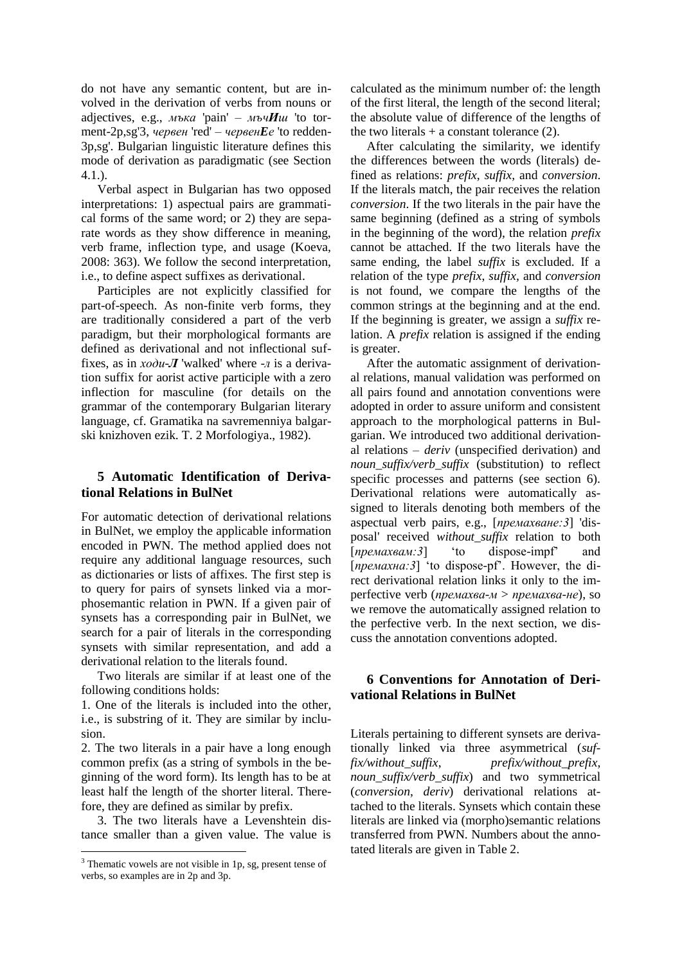do not have any semantic content, but are involved in the derivation of verbs from nouns or adjectives, e.g., *мъка* 'pain' – *мъчИш* 'to torment-2p,sg'3, *червен* 'red' – *червенEе* 'to redden-3p,sg'. Bulgarian linguistic literature defines this mode of derivation as paradigmatic (see Section 4.1.).

Verbal aspect in Bulgarian has two opposed interpretations: 1) aspectual pairs are grammatical forms of the same word; or 2) they are separate words as they show difference in meaning, verb frame, inflection type, and usage (Koeva, 2008: 363). We follow the second interpretation, i.e., to define aspect suffixes as derivational.

Participles are not explicitly classified for part-of-speech. As non-finite verb forms, they are traditionally considered a part of the verb paradigm, but their morphological formants are defined as derivational and not inflectional suffixes, as in *ходи-Л* 'walked' where -*л* is a derivation suffix for aorist active participle with a zero inflection for masculine (for details on the grammar of the contemporary Bulgarian literary language, cf. Gramatika na savremenniya balgarski knizhoven ezik. T. 2 Morfologiya., 1982).

# **5 Automatic Identification of Derivational Relations in BulNet**

For automatic detection of derivational relations in BulNet, we employ the applicable information encoded in PWN. The method applied does not require any additional language resources, such as dictionaries or lists of affixes. The first step is to query for pairs of synsets linked via a morphosemantic relation in PWN. If a given pair of synsets has a corresponding pair in BulNet, we search for a pair of literals in the corresponding synsets with similar representation, and add a derivational relation to the literals found.

Two literals are similar if at least one of the following conditions holds:

1. One of the literals is included into the other, i.e., is substring of it. They are similar by inclusion.

2. The two literals in a pair have a long enough common prefix (as a string of symbols in the beginning of the word form). Its length has to be at least half the length of the shorter literal. Therefore, they are defined as similar by prefix.

3. The two literals have a Levenshtein distance smaller than a given value. The value is

calculated as the minimum number of: the length of the first literal, the length of the second literal; the absolute value of difference of the lengths of the two literals  $+$  a constant tolerance (2).

After calculating the similarity, we identify the differences between the words (literals) defined as relations: *prefix*, *suffix,* and *conversion*. If the literals match, the pair receives the relation *conversion*. If the two literals in the pair have the same beginning (defined as a string of symbols in the beginning of the word), the relation *prefix* cannot be attached. If the two literals have the same ending, the label *suffix* is excluded. If a relation of the type *prefix*, *suffix,* and *conversion* is not found, we compare the lengths of the common strings at the beginning and at the end. If the beginning is greater, we assign a *suffix* relation. A *prefix* relation is assigned if the ending is greater.

After the automatic assignment of derivational relations, manual validation was performed on all pairs found and annotation conventions were adopted in order to assure uniform and consistent approach to the morphological patterns in Bulgarian. We introduced two additional derivational relations – *deriv* (unspecified derivation) and *noun\_suffix/verb\_suffix* (substitution) to reflect specific processes and patterns (see section 6). Derivational relations were automatically assigned to literals denoting both members of the aspectual verb pairs, e.g., [*премахване:3*] 'disposal' received *without\_suffix* relation to both [*премахвам:3*] 'to dispose-impf' and [*премахна:3*] 'to dispose-pf'. However, the direct derivational relation links it only to the imperfective verb (*премахва-м* > *премахва-не*), so we remove the automatically assigned relation to the perfective verb. In the next section, we discuss the annotation conventions adopted.

# **6 Conventions for Annotation of Derivational Relations in BulNet**

Literals pertaining to different synsets are derivationally linked via three asymmetrical (*suffix/without\_suffix*, *prefix/without\_prefix*, *noun\_suffix/verb\_suffix*) and two symmetrical (*conversion*, *deriv*) derivational relations attached to the literals. Synsets which contain these literals are linked via (morpho)semantic relations transferred from PWN. Numbers about the annotated literals are given in Table 2.

<sup>&</sup>lt;sup>3</sup> Thematic vowels are not visible in 1p, sg, present tense of verbs, so examples are in 2p and 3p.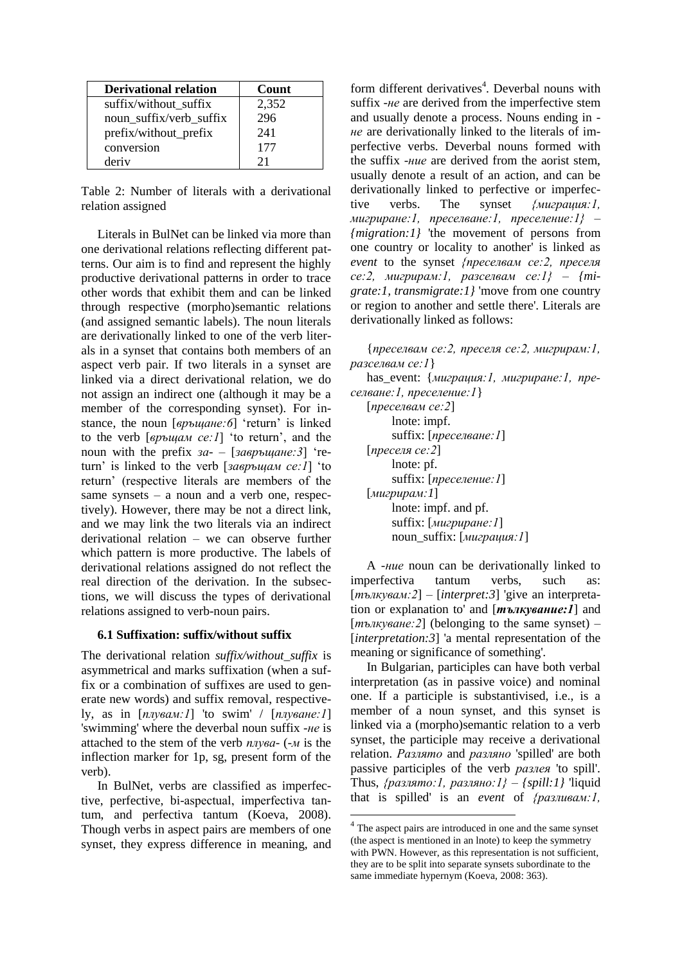| <b>Derivational relation</b> | Count |
|------------------------------|-------|
| suffix/without suffix        | 2,352 |
| noun suffix/verb suffix      | 296   |
| prefix/without_prefix        | 241   |
| conversion                   | 177   |
| deriv                        | 21    |

Table 2: Number of literals with a derivational relation assigned

Literals in BulNet can be linked via more than one derivational relations reflecting different patterns. Our aim is to find and represent the highly productive derivational patterns in order to trace other words that exhibit them and can be linked through respective (morpho)semantic relations (and assigned semantic labels). The noun literals are derivationally linked to one of the verb literals in a synset that contains both members of an aspect verb pair. If two literals in a synset are linked via a direct derivational relation, we do not assign an indirect one (although it may be a member of the corresponding synset). For instance, the noun [*връщане:6*] 'return' is linked to the verb [*връщам се:1*] 'to return', and the noun with the prefix *за-* – [*завръщане:3*] 'return' is linked to the verb [*завръщам се:1*] 'to return' (respective literals are members of the same synsets – a noun and a verb one, respectively). However, there may be not a direct link, and we may link the two literals via an indirect derivational relation – we can observe further which pattern is more productive. The labels of derivational relations assigned do not reflect the real direction of the derivation. In the subsections, we will discuss the types of derivational relations assigned to verb-noun pairs.

#### **6.1 Suffixation: suffix/without suffix**

The derivational relation *suffix/without\_suffix* is asymmetrical and marks suffixation (when a suffix or a combination of suffixes are used to generate new words) and suffix removal, respectively, as in [*плувам:1*] 'to swim' / [*плуване:1*] 'swimming' where the deverbal noun suffix *-не* is attached to the stem of the verb *плува-* (*-м* is the inflection marker for 1p, sg, present form of the verb).

In BulNet, verbs are classified as imperfective, perfective, bi-aspectual, imperfectivа tantum, and perfectiva tantum (Koeva, 2008). Though verbs in aspect pairs are members of one synset, they express difference in meaning, and

form different derivatives<sup>4</sup>. Deverbal nouns with suffix *-не* are derived from the imperfective stem and usually denote a process. Nouns ending in  *не* are derivationally linked to the literals of imperfective verbs. Deverbal nouns formed with the suffix *-ние* are derived from the aorist stem, usually denote a result of an action, and can be derivationally linked to perfective or imperfective verbs. The synset *{миграция:1, мигриране:1, преселване:1, преселение:1}* – *{migration:1}* 'the movement of persons from one country or locality to another' is linked as *event* to the synset *{преселвам се:2, преселя се:2, мигрирам:1, разселвам се:1}* – *{migrate:1, transmigrate:1}* 'move from one country or region to another and settle there'. Literals are derivationally linked as follows:

{*преселвам се:2, преселя се:2, мигрирам:1, разселвам се:1*} has\_event: {*миграция:1, мигриране:1, преселване:1, преселение:1*} [*преселвам се:2*] lnote: impf. suffix: [*преселване:1*] [*преселя се:2*] lnote: pf. suffix: [*преселение:1*] [*мигрирам:1*] lnote: impf. and pf. suffix: [*мигриране:1*] noun\_suffix: [*миграция:1*] A *-ние* noun can be derivationally linked to

imperfectiva tantum verbs, such [*тълкувам:2*] – [*interpret:3*] 'give an interpretation or explanation to' and [*тълкувание:1*] and [*тълкуване:2*] (belonging to the same synset) – [*interpretation:3*] 'a mental representation of the meaning or significance of something'.

In Bulgarian, participles can have both verbal interpretation (as in passive voice) and nominal one. If a participle is substantivised, i.e., is a member of a noun synset, and this synset is linked via a (morpho)semantic relation to a verb synset, the participle may receive a derivational relation. *Разлято* and *разляно* 'spilled' are both passive participles of the verb *разлея* 'to spill'. Thus, *{разлято:1, разляно:1}* – *{spill:1}* 'liquid that is spilled' is an *event* of *{разливам:1,* 

<sup>&</sup>lt;sup>4</sup> The aspect pairs are introduced in one and the same synset (the aspect is mentioned in an lnote) to keep the symmetry with PWN. However, as this representation is not sufficient, they are to be split into separate synsets subordinate to the same immediate hypernym (Koeva, 2008: 363).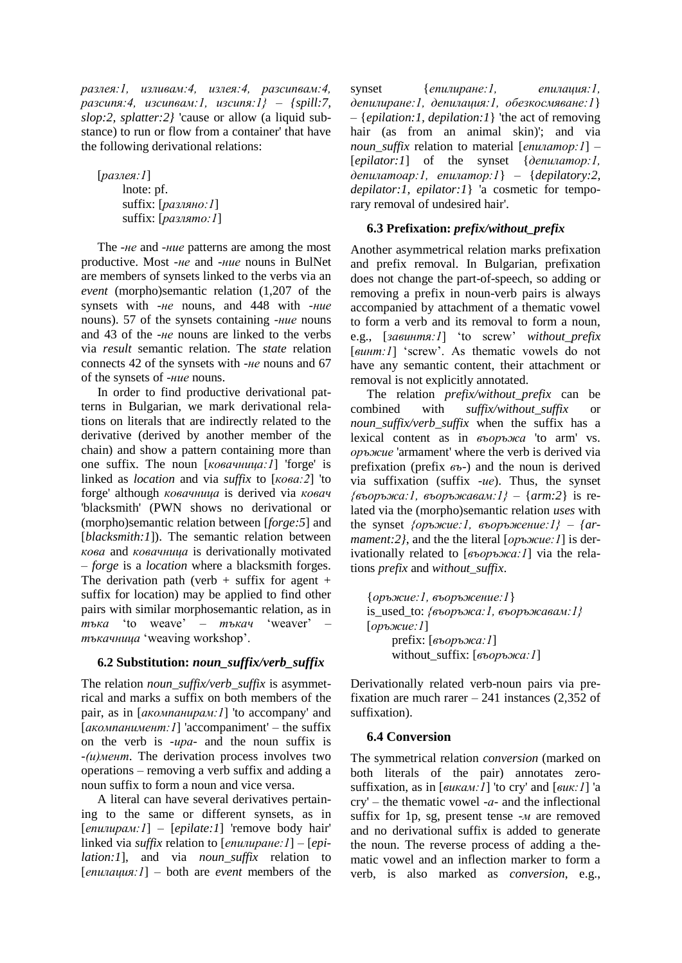*разлея:1, изливам:4, излея:4, разсипвам:4, разсипя:4, изсипвам:1, изсипя:1}* – *{spill:7, slop:2, splatter:2}* 'cause or allow (a liquid substance) to run or flow from a container' that have the following derivational relations:

[*разлея:1*] lnote: pf. suffix: [*разляно:1*] suffix: [*разлято:1*]

The *-не* and *-ние* patterns are among the most productive. Most *-не* and *-ние* nouns in BulNet are members of synsets linked to the verbs via an *event* (morpho)semantic relation (1,207 of the synsets with *-не* nouns, and 448 with *-ние* nouns). 57 of the synsets containing *-ние* nouns and 43 of the *-не* nouns are linked to the verbs via *result* semantic relation. The *state* relation connects 42 of the synsets with *-не* nouns and 67 of the synsets of *-ние* nouns.

In order to find productive derivational patterns in Bulgarian, we mark derivational relations on literals that are indirectly related to the derivative (derived by another member of the chain) and show a pattern containing more than one suffix. The noun [*ковачница:1*] 'forge' is linked as *location* and via *suffix* to [*кова:2*] 'to forge' although *ковачница* is derived via *ковач* 'blacksmith' (PWN shows no derivational or (morpho)semantic relation between [*forge:5*] and [*blacksmith:1*]). The semantic relation between *кова* and *ковачница* is derivationally motivated – *forge* is a *location* where a blacksmith forges. The derivation path (verb  $+$  suffix for agent  $+$ suffix for location) may be applied to find other pairs with similar morphosemantic relation, as in *тъка* 'to weave' – *тъкач* 'weaver' – *тъкачница* 'weaving workshop'.

# **6.2 Substitution:** *noun\_suffix/verb\_suffix*

The relation *noun* suffix/verb suffix is asymmetrical and marks a suffix on both members of the pair, as in [*акомпанирам:1*] 'to accompany' and [*акомпанимент:1*] 'accompaniment' – the suffix on the verb is *-ира-* and the noun suffix is *-(и)мент*. The derivation process involves two operations – removing a verb suffix and adding a noun suffix to form a noun and vice versa.

A literal can have several derivatives pertaining to the same or different synsets, as in [*епилирам:1*] – [*epilate:1*] 'remove body hair' linked via *suffix* relation to [*епилиране:1*] – [*epilation:1*], and via *noun\_suffix* relation to [*епилaция:1*] – both are *event* members of the

synset {*епилиране:1, епилация:1, депилиране:1, депилация:1, обезкосмяване:1*} – {*epilation:1, depilation:1*} 'the act of removing hair (as from an animal skin)'; and via *noun\_suffix* relation to material [*епилатор:1*] – [*epilator:1*] of the synset {*депилатор:1, депилатоар:1, епилатор:1*} – {*depilatory:2, depilator:1, epilator:1*} 'a cosmetic for temporary removal of undesired hair'.

# **6.3 Prefixation:** *prefix/without\_prefix*

Another asymmetrical relation marks prefixation and prefix removal. In Bulgarian, prefixation does not change the part-of-speech, so adding or removing a prefix in noun-verb pairs is always accompanied by attachment of a thematic vowel to form a verb and its removal to form a noun, e.g., [*завинтя:1*] 'to screw' *without\_prefix* [*винт:1*] 'screw'. As thematic vowels do not have any semantic content, their attachment or removal is not explicitly annotated.

The relation *prefix/without\_prefix* can be combined with *suffix/without\_suffix* or *noun\_suffix/verb\_suffix* when the suffix has a lexical content as in *въоръжа* 'to arm' vs. *оръжие* 'armament' where the verb is derived via prefixation (prefix *въ-*) and the noun is derived via suffixation (suffix *-ие*). Thus, the synset *{въоръжа:1, въоръжавам:1}* – {*arm:2*} is related via the (morpho)semantic relation *uses* with the synset *{оръжие:1, въоръжение:1}* – *{armament:2}*, and the the literal [*оръжие:1*] is derivationally related to [*въоръжа:1*] via the relations *prefix* and *without\_suffix*.

{*оръжие:1, въоръжение:1*} is\_used\_to: *{въоръжа:1, въоръжавам:1}* [*оръжие:1*] prefix: [*въоръжа:1*] without\_suffix: [*въоръжа:1*]

Derivationally related verb-noun pairs via prefixation are much rarer  $-241$  instances (2,352 of suffixation).

# **6.4 Conversion**

The symmetrical relation *conversion* (marked on both literals of the pair) annotates zerosuffixation, as in [*викам:1*] 'to cry' and [*вик:1*] 'a cry' – the thematic vowel *-а-* and the inflectional suffix for 1p, sg, present tense *-м* are removed and no derivational suffix is added to generate the noun. The reverse process of adding a thematic vowel and an inflection marker to form a verb, is also marked as *conversion*, e.g.,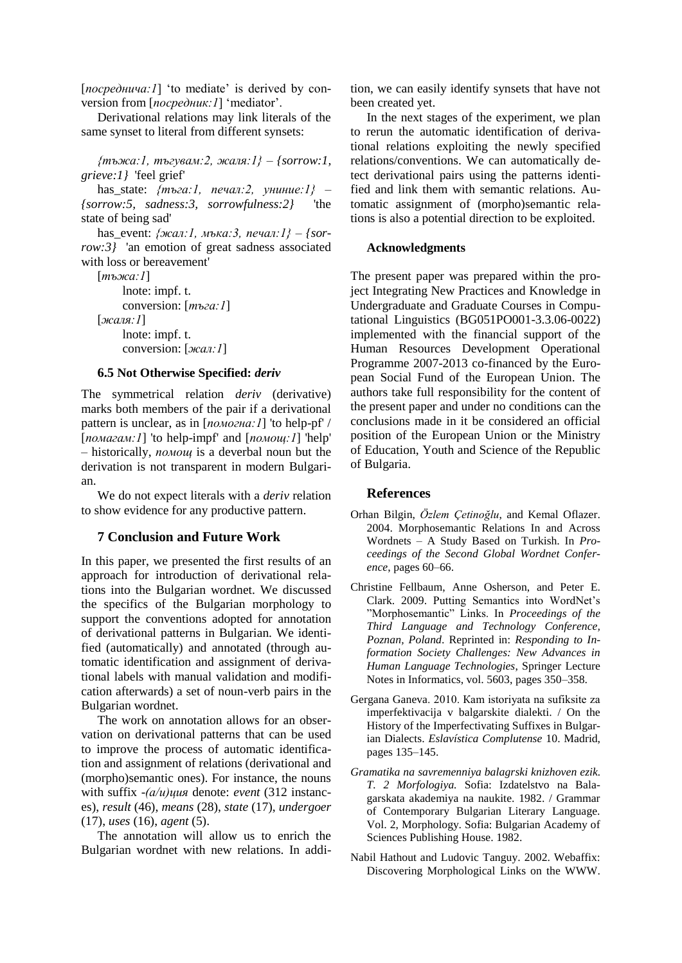[*посреднича:1*] 'to mediate' is derived by conversion from [*посредник:1*] 'mediator'.

Derivational relations may link literals of the same synset to literal from different synsets:

*{тъжа:1, тъгувам:2, жаля:1}* – *{sorrow:1, grieve:1}* 'feel grief'

has\_state: *{тъга:1, печал:2, униние:1}* – *{sorrow:5, sadness:3, sorrowfulness:2}* 'the state of being sad'

has\_event: *{жал:1, мъка:3, печал:1}* – *{sorrow:3}* 'an emotion of great sadness associated with loss or bereavement'

```
[тъжа:1]
    lnote: impf. t.
    conversion: [тъга:1]
[жаля:1]
    lnote: impf. t.
    conversion: [жал:1]
```
#### **6.5 Not Otherwise Specified:** *deriv*

The symmetrical relation *deriv* (derivative) marks both members of the pair if a derivational pattern is unclear, as in [*помогна:1*] 'to help-pf' / [*помагам:1*] 'to help-impf' and [*помощ:1*] 'help' – historically, *помощ* is a deverbal noun but the derivation is not transparent in modern Bulgarian.

We do not expect literals with a *deriv* relation to show evidence for any productive pattern.

## **7 Conclusion and Future Work**

In this paper, we presented the first results of an approach for introduction of derivational relations into the Bulgarian wordnet. We discussed the specifics of the Bulgarian morphology to support the conventions adopted for annotation of derivational patterns in Bulgarian. We identified (automatically) and annotated (through automatic identification and assignment of derivational labels with manual validation and modification afterwards) a set of noun-verb pairs in the Bulgarian wordnet.

The work on annotation allows for an observation on derivational patterns that can be used to improve the process of automatic identification and assignment of relations (derivational and (morpho)semantic ones). For instance, the nouns with suffix -*(а/и)ция* denote: *event* (312 instances), *result* (46), *means* (28), *state* (17), *undergoer* (17), *uses* (16), *agent* (5).

The annotation will allow us to enrich the Bulgarian wordnet with new relations. In addi-

tion, we can easily identify synsets that have not been created yet.

In the next stages of the experiment, we plan to rerun the automatic identification of derivational relations exploiting the newly specified relations/conventions. We can automatically detect derivational pairs using the patterns identified and link them with semantic relations. Automatic assignment of (morpho)semantic relations is also a potential direction to be exploited.

#### **Acknowledgments**

The present paper was prepared within the project Integrating New Practices and Knowledge in Undergraduate and Graduate Courses in Computational Linguistics (BG051PO001-3.3.06-0022) implemented with the financial support of the Human Resources Development Operational Programme 2007-2013 co-financed by the European Social Fund of the European Union. The authors take full responsibility for the content of the present paper and under no conditions can the conclusions made in it be considered an official position of the European Union or the Ministry of Education, Youth and Science of the Republic of Bulgaria.

#### **References**

- Orhan Bilgin, *Özlem Çetinoğlu*, and Kemal Oflazer. 2004. Morphosemantic Relations In and Across Wordnets – A Study Based on Turkish. In *Proceedings of the Second Global Wordnet Conference*, pages 60–66.
- Christine Fellbaum, Anne Osherson, and Peter E. Clark. 2009. Putting Semantics into WordNet's "Morphosemantic" Links. In *Proceedings of the Third Language and Technology Conference, Poznan, Poland*. Reprinted in: *Responding to Information Society Challenges: New Advances in Human Language Technologies*, Springer Lecture Notes in Informatics, vol. 5603, pages 350–358.
- Gergana Ganeva. 2010. Кam istoriyata na sufiksite za imperfektivacija v balgarskite dialekti. / On the History of the Imperfectivating Suffixes in Bulgarian Dialects. *Eslavística Complutense* 10. Madrid, pages 135–145.
- *Gramatika na savremenniya balagrski knizhoven ezik. T. 2 Morfologiya.* Sofia: Izdatelstvo na Balagarskata akademiya na naukite. 1982. / Grammar of Contemporary Bulgarian Literary Language. Vol. 2, Morphology. Sofia: Bulgarian Academy of Sciences Publishing House. 1982.
- Nabil Hathout and Ludovic Tanguy. 2002. Webaffix: Discovering Morphological Links on the WWW.